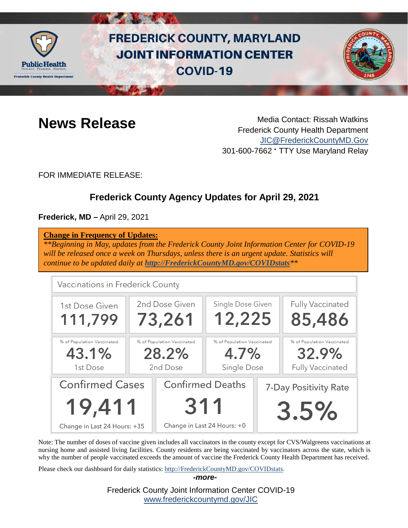

# **FREDERICK COUNTY, MARYLAND JOINT INFORMATION CENTER COVID-19**



**News Release** Media Contact: Rissah Watkins Frederick County Health Department [JIC@FrederickCountyMD.Gov](mailto:JIC@FrederickCountyMD.Gov) 301-600-7662 • TTY Use Maryland Relay

FOR IMMEDIATE RELEASE:

## **Frederick County Agency Updates for April 29, 2021**

**Frederick, MD –** April 29, 2021

| <b>Change in Frequency of Updates:</b><br>**Beginning in May, updates from the Frederick County Joint Information Center for COVID-19<br>will be released once a week on Thursdays, unless there is an urgent update. Statistics will<br>continue to be updated daily at http://FrederickCountyMD.gov/COVIDstats ** |                                  |                                        |                             |                                          |  |  |  |  |  |
|---------------------------------------------------------------------------------------------------------------------------------------------------------------------------------------------------------------------------------------------------------------------------------------------------------------------|----------------------------------|----------------------------------------|-----------------------------|------------------------------------------|--|--|--|--|--|
|                                                                                                                                                                                                                                                                                                                     | Vaccinations in Frederick County |                                        |                             |                                          |  |  |  |  |  |
|                                                                                                                                                                                                                                                                                                                     | 1st Dose Given<br>111,799        | 2nd Dose Given<br>73,261               | Single Dose Given<br>12,225 | <b>Fully Vaccinated</b><br>85,486        |  |  |  |  |  |
|                                                                                                                                                                                                                                                                                                                     | 07 - I Departies Medicines J     | - 07 - 20 December 20 and Mercedes and | 0/ LEDERHILLER MEDICINE I   | - 07 - 20 December 20 and 17 December 20 |  |  |  |  |  |

| 1st Dose                     |  | 2nd Dose                | <b>Single Dose</b>          |                       | <b>Fully Vaccinated</b> |
|------------------------------|--|-------------------------|-----------------------------|-----------------------|-------------------------|
| <b>Confirmed Cases</b>       |  | <b>Confirmed Deaths</b> |                             | 7-Day Positivity Rate |                         |
| 19,411                       |  | 311                     |                             | 3.5%                  |                         |
| Change in Last 24 Hours: +35 |  |                         | Change in Last 24 Hours: +0 |                       |                         |

43.1% 28.2% 4.7% 32.9%

Note: The number of doses of vaccine given includes all vaccinators in the county except for CVS/Walgreens vaccinations at nursing home and assisted living facilities. County residents are being vaccinated by vaccinators across the state, which is why the number of people vaccinated exceeds the amount of vaccine the Frederick County Health Department has received.

*-more-*

Please check our dashboard for daily statistics: [http://FrederickCountyMD.gov/COVIDstats.](http://frederickcountymd.gov/COVIDstats)

Frederick County Joint Information Center COVID-19 [www.frederickcountymd.gov/JIC](https://frederickcountymd.gov/JIC)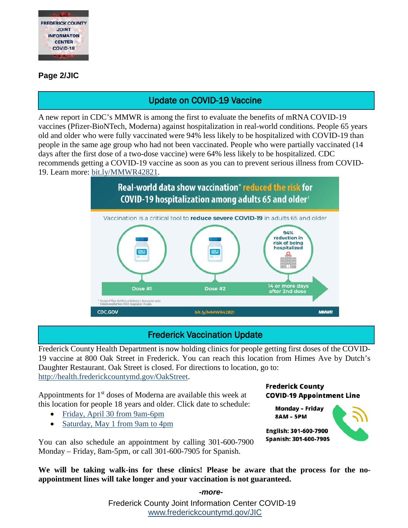

#### **Page 2/JIC**

## Update on COVID-19 Vaccine

A new report in CDC's MMWR is among the first to evaluate the benefits of mRNA COVID-19 vaccines (Pfizer-BioNTech, Moderna) against hospitalization in real-world conditions. People 65 years old and older who were fully vaccinated were 94% less likely to be hospitalized with COVID-19 than people in the same age group who had not been vaccinated. People who were partially vaccinated (14 days after the first dose of a two-dose vaccine) were 64% less likely to be hospitalized. CDC recommends getting a COVID-19 vaccine as soon as you can to prevent serious illness from COVID-19. Learn more: [bit.ly/MMWR42821.](https://bit.ly/MMWR42821?fbclid=IwAR1t3fI2HkHpnT4652EpUafH9tUuPIgWNOPPShOaR7ggeBXW52Gz6Dm_BD0)



## Frederick Vaccination Update

Frederick County Health Department is now holding clinics for people getting first doses of the COVID-19 vaccine at 800 Oak Street in Frederick. You can reach this location from Himes Ave by Dutch's Daughter Restaurant. Oak Street is closed. For directions to location, go to: [http://health.frederickcountymd.gov/OakStreet.](http://health.frederickcountymd.gov/OakStreet)

Appointments for 1st doses of Moderna are available this week at this location for people 18 years and older. Click date to schedule:

- [Friday, April 30 from 9am-6pm](https://www.marylandvax.org/client/registration?clinic_id=11526)
- [Saturday, May 1 from 9am to 4pm](https://www.marylandvax.org/client/registration?clinic_id=11527)

You can also schedule an appointment by calling 301-600-7900 Monday – Friday, 8am-5pm, or call 301-600-7905 for Spanish.

#### **Frederick County COVID-19 Appointment Line**

**Monday - Friday 8AM - 5PM** 



English: 301-600-7900 Spanish: 301-600-7905

**We will be taking walk-ins for these clinics! Please be aware that the process for the noappointment lines will take longer and your vaccination is not guaranteed.**

*-more-*

Frederick County Joint Information Center COVID-19 [www.frederickcountymd.gov/JIC](https://frederickcountymd.gov/JIC)